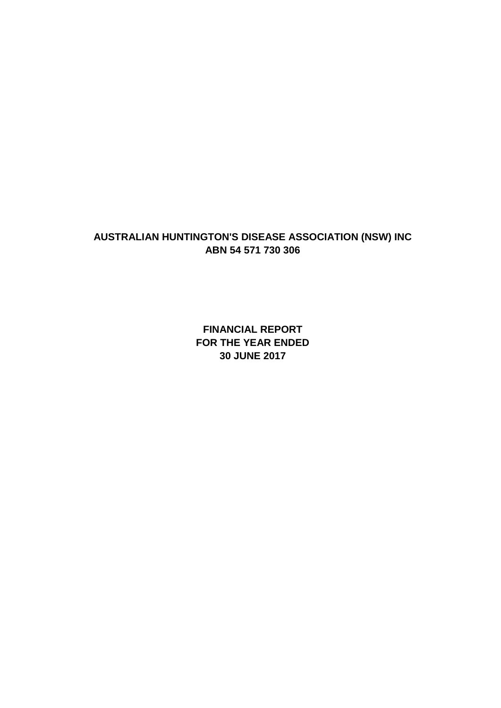**FINANCIAL REPORT FOR THE YEAR ENDED 30 JUNE 2017**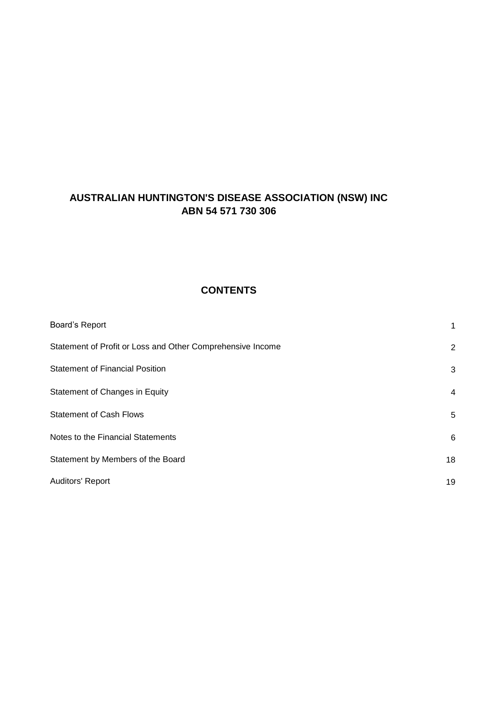## **CONTENTS**

| Board's Report                                             | 1              |
|------------------------------------------------------------|----------------|
| Statement of Profit or Loss and Other Comprehensive Income | $\overline{2}$ |
| <b>Statement of Financial Position</b>                     | 3              |
| Statement of Changes in Equity                             | $\overline{4}$ |
| <b>Statement of Cash Flows</b>                             | 5              |
| Notes to the Financial Statements                          | 6              |
| Statement by Members of the Board                          | 18             |
| Auditors' Report                                           | 19             |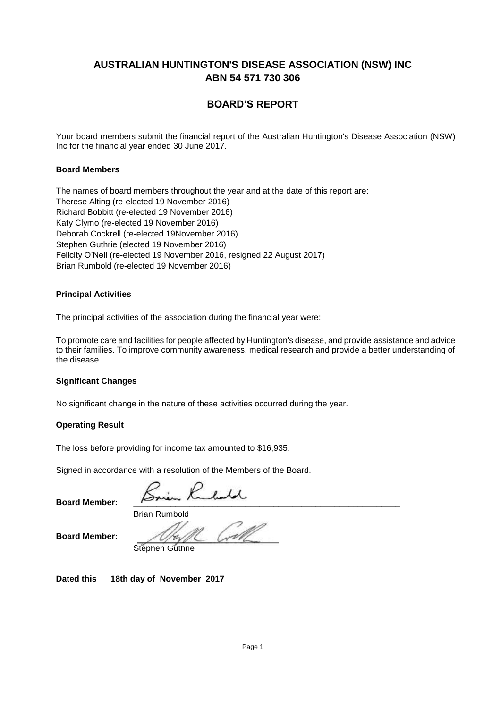## **BOARD'S REPORT**

Your board members submit the financial report of the Australian Huntington's Disease Association (NSW) Inc for the financial year ended 30 June 2017.

### .**Board Members**

The names of board members throughout the year and at the date of this report are: Therese Alting (re-elected 19 November 2016) Richard Bobbitt (re-elected 14 November 2015) Richard Bobbitt (re-elected 19 November 2016) Katy Clymo (re-elected 19 November 2016) Deborah Cockrell (re-elected 19November 2016) Amanda Dickey (resigned 12 October 2015) Stephen Guthrie (elected 19 November 2016) Stephen Guthrie (seconded 15th October 2016) Felicity O'Neil (re-elected 14 November 2015) Felicity O'Neil (re-elected 19 November 2016, resigned 22 August 2017) Brian Rumbold (re-elected 14 November 2015) Brian Rumbold (re-elected 19 November 2016)

### **Principal Activities**

The principal activities of the association during the financial year were:

To promote care and facilities for people affected by Huntington's disease, and provide assistance and advice to their families. To improve community awareness, medical research and provide a better understanding of the disease.

### **Significant Changes**

No significant change in the nature of these activities occurred during the year.

### **Operating Result**

The loss before providing for income tax amounted to \$16,935.

Signed in accordance with a resolution of the Members of the Board.

Brian Rumbold

**Board Member:**

**Board Member:** 

Stephen Guthrie

**Dated this 18th day of November 2017**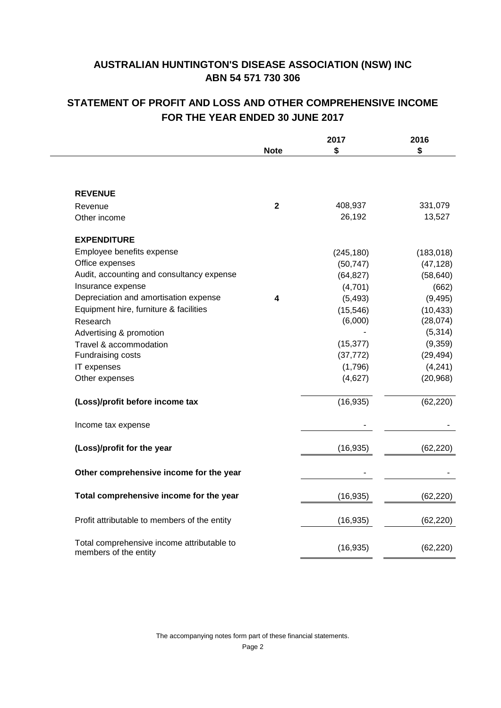# **STATEMENT OF PROFIT AND LOSS AND OTHER COMPREHENSIVE INCOME FOR THE YEAR ENDED 30 JUNE 2017**

|                                                                     |                | 2017       | 2016       |
|---------------------------------------------------------------------|----------------|------------|------------|
|                                                                     | <b>Note</b>    | \$         | \$         |
|                                                                     |                |            |            |
| <b>REVENUE</b>                                                      |                |            |            |
| Revenue                                                             | $\overline{2}$ | 408,937    | 331,079    |
| Other income                                                        |                | 26,192     | 13,527     |
| <b>EXPENDITURE</b>                                                  |                |            |            |
| Employee benefits expense                                           |                | (245, 180) | (183, 018) |
| Office expenses                                                     |                | (50, 747)  | (47, 128)  |
| Audit, accounting and consultancy expense                           |                | (64, 827)  | (58, 640)  |
| Insurance expense                                                   |                | (4,701)    | (662)      |
| Depreciation and amortisation expense                               | 4              | (5, 493)   | (9, 495)   |
| Equipment hire, furniture & facilities                              |                | (15, 546)  | (10, 433)  |
| Research                                                            |                | (6,000)    | (28,074)   |
| Advertising & promotion                                             |                |            | (5,314)    |
| Travel & accommodation                                              |                | (15, 377)  | (9,359)    |
| Fundraising costs                                                   |                | (37, 772)  | (29, 494)  |
| IT expenses                                                         |                | (1,796)    | (4,241)    |
| Other expenses                                                      |                | (4,627)    | (20, 968)  |
| (Loss)/profit before income tax                                     |                | (16, 935)  | (62, 220)  |
| Income tax expense                                                  |                |            |            |
| (Loss)/profit for the year                                          |                | (16, 935)  | (62, 220)  |
| Other comprehensive income for the year                             |                |            |            |
| Total comprehensive income for the year                             |                | (16, 935)  | (62, 220)  |
| Profit attributable to members of the entity                        |                | (16, 935)  | (62, 220)  |
| Total comprehensive income attributable to<br>members of the entity |                | (16, 935)  | (62, 220)  |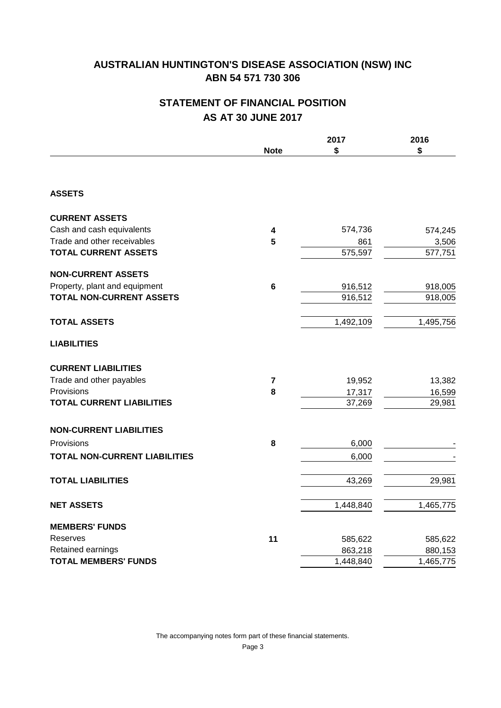# **STATEMENT OF FINANCIAL POSITION AS AT 30 JUNE 2017**

|                                      |                         | 2017      | 2016      |
|--------------------------------------|-------------------------|-----------|-----------|
|                                      | <b>Note</b>             | \$        | \$        |
|                                      |                         |           |           |
| <b>ASSETS</b>                        |                         |           |           |
| <b>CURRENT ASSETS</b>                |                         |           |           |
| Cash and cash equivalents            | $\overline{\mathbf{4}}$ | 574,736   | 574,245   |
| Trade and other receivables          | 5                       | 861       | 3,506     |
| <b>TOTAL CURRENT ASSETS</b>          |                         | 575,597   | 577,751   |
| <b>NON-CURRENT ASSETS</b>            |                         |           |           |
| Property, plant and equipment        | 6                       | 916,512   | 918,005   |
| <b>TOTAL NON-CURRENT ASSETS</b>      |                         | 916,512   | 918,005   |
| <b>TOTAL ASSETS</b>                  |                         | 1,492,109 | 1,495,756 |
| <b>LIABILITIES</b>                   |                         |           |           |
| <b>CURRENT LIABILITIES</b>           |                         |           |           |
| Trade and other payables             | $\overline{7}$          | 19,952    | 13,382    |
| Provisions                           | 8                       | 17,317    | 16,599    |
| <b>TOTAL CURRENT LIABILITIES</b>     |                         | 37,269    | 29,981    |
| <b>NON-CURRENT LIABILITIES</b>       |                         |           |           |
| Provisions                           | 8                       | 6,000     |           |
| <b>TOTAL NON-CURRENT LIABILITIES</b> |                         | 6,000     |           |
| <b>TOTAL LIABILITIES</b>             |                         | 43,269    | 29,981    |
| <b>NET ASSETS</b>                    |                         | 1,448,840 | 1,465,775 |
| <b>MEMBERS' FUNDS</b>                |                         |           |           |
| Reserves                             | 11                      | 585,622   | 585,622   |
| Retained earnings                    |                         | 863,218   | 880,153   |
| <b>TOTAL MEMBERS' FUNDS</b>          |                         | 1,448,840 | 1,465,775 |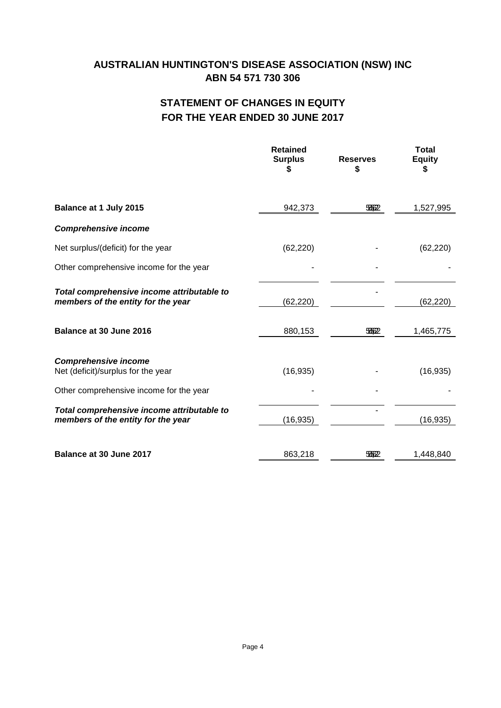# **STATEMENT OF CHANGES IN EQUITY FOR THE YEAR ENDED 30 JUNE 2017**

|                                                                                                              | <b>Retained</b><br><b>Surplus</b><br>S | <b>Reserves</b><br>\$ | <b>Total</b><br><b>Equity</b><br>S |
|--------------------------------------------------------------------------------------------------------------|----------------------------------------|-----------------------|------------------------------------|
| Balance at 1 July 2015                                                                                       | 942,373                                | 5562                  | 1,527,995                          |
| <b>Comprehensive income</b>                                                                                  |                                        |                       |                                    |
| Net surplus/(deficit) for the year                                                                           | (62, 220)                              |                       | (62, 220)                          |
| Other comprehensive income for the year                                                                      |                                        |                       |                                    |
| Total comprehensive income attributable to<br>members of the entity for the year                             | (62, 220)                              |                       | (62, 220)                          |
| Balance at 30 June 2016                                                                                      | 880,153                                | 5562                  | 1,465,775                          |
| <b>Comprehensive income</b><br>Net (deficit)/surplus for the year<br>Other comprehensive income for the year | (16, 935)                              |                       | (16, 935)                          |
| Total comprehensive income attributable to<br>members of the entity for the year                             | (16, 935)                              |                       | (16, 935)                          |
| Balance at 30 June 2017                                                                                      | 863,218                                | 5662                  | 1,448,840                          |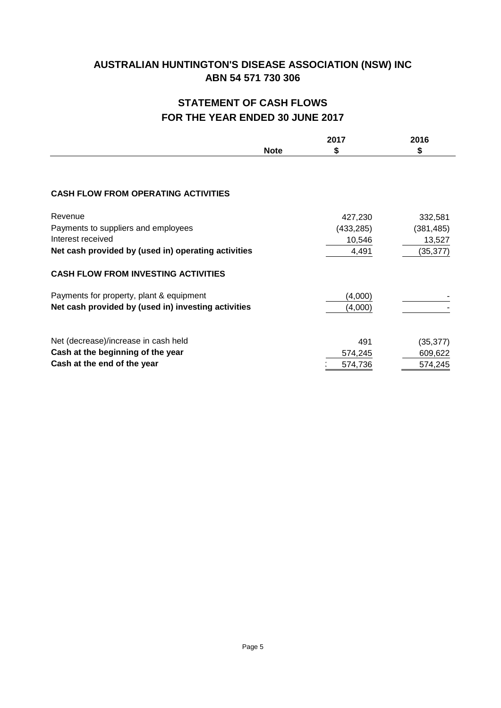# **STATEMENT OF CASH FLOWS FOR THE YEAR ENDED 30 JUNE 2017**

|                                                     |             | 2017       | 2016       |
|-----------------------------------------------------|-------------|------------|------------|
|                                                     | <b>Note</b> | S          | \$         |
|                                                     |             |            |            |
|                                                     |             |            |            |
| <b>CASH FLOW FROM OPERATING ACTIVITIES</b>          |             |            |            |
| Revenue                                             |             | 427,230    | 332,581    |
| Payments to suppliers and employees                 |             | (433, 285) | (381, 485) |
| Interest received                                   |             | 10,546     | 13,527     |
| Net cash provided by (used in) operating activities |             | 4,491      | (35,377)   |
| <b>CASH FLOW FROM INVESTING ACTIVITIES</b>          |             |            |            |
| Payments for property, plant & equipment            |             | (4,000)    |            |
| Net cash provided by (used in) investing activities |             | (4,000)    |            |
|                                                     |             |            |            |
| Net (decrease)/increase in cash held                |             | 491        | (35, 377)  |
| Cash at the beginning of the year                   |             | 574,245    | 609,622    |
| Cash at the end of the year                         |             | 574,736    | 574,245    |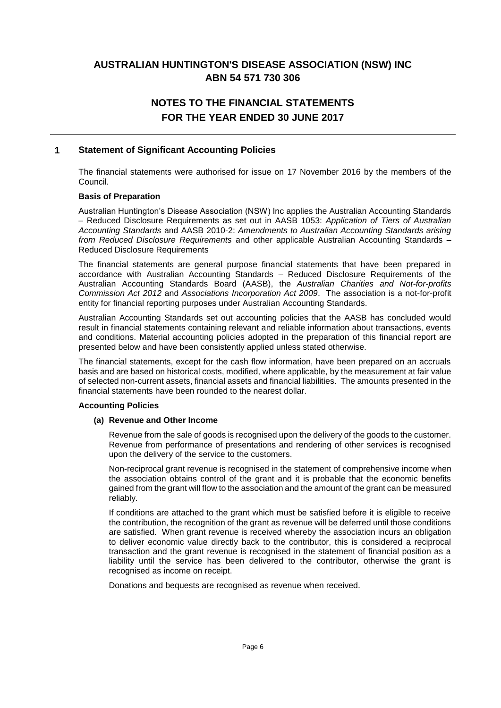# **NOTES TO THE FINANCIAL STATEMENTS FOR THE YEAR ENDED 30 JUNE 2017**

## **1 Statement of Significant Accounting Policies**

The financial statements were authorised for issue on 17 November 2016 by the members of the Council.

### **Basis of Preparation**

Australian Huntington's Disease Association (NSW) Inc applies the Australian Accounting Standards – Reduced Disclosure Requirements as set out in AASB 1053: *Application of Tiers of Australian Accounting Standards* and AASB 2010-2: *Amendments to Australian Accounting Standards arising from Reduced Disclosure Requirements* and other applicable Australian Accounting Standards – Reduced Disclosure Requirements

The financial statements are general purpose financial statements that have been prepared in accordance with Australian Accounting Standards – Reduced Disclosure Requirements of the Australian Accounting Standards Board (AASB), the *Australian Charities and Not-for-profits Commission Act 2012* and *Associations Incorporation Act 2009*. The association is a not-for-profit entity for financial reporting purposes under Australian Accounting Standards.

Australian Accounting Standards set out accounting policies that the AASB has concluded would result in financial statements containing relevant and reliable information about transactions, events and conditions. Material accounting policies adopted in the preparation of this financial report are presented below and have been consistently applied unless stated otherwise.

The financial statements, except for the cash flow information, have been prepared on an accruals basis and are based on historical costs, modified, where applicable, by the measurement at fair value of selected non-current assets, financial assets and financial liabilities. The amounts presented in the financial statements have been rounded to the nearest dollar.

### **Accounting Policies**

### **(a) Revenue and Other Income**

Revenue from the sale of goods is recognised upon the delivery of the goods to the customer. Revenue from performance of presentations and rendering of other services is recognised upon the delivery of the service to the customers.

Non-reciprocal grant revenue is recognised in the statement of comprehensive income when the association obtains control of the grant and it is probable that the economic benefits gained from the grant will flow to the association and the amount of the grant can be measured reliably.

If conditions are attached to the grant which must be satisfied before it is eligible to receive the contribution, the recognition of the grant as revenue will be deferred until those conditions are satisfied. When grant revenue is received whereby the association incurs an obligation to deliver economic value directly back to the contributor, this is considered a reciprocal transaction and the grant revenue is recognised in the statement of financial position as a liability until the service has been delivered to the contributor, otherwise the grant is recognised as income on receipt.

Donations and bequests are recognised as revenue when received.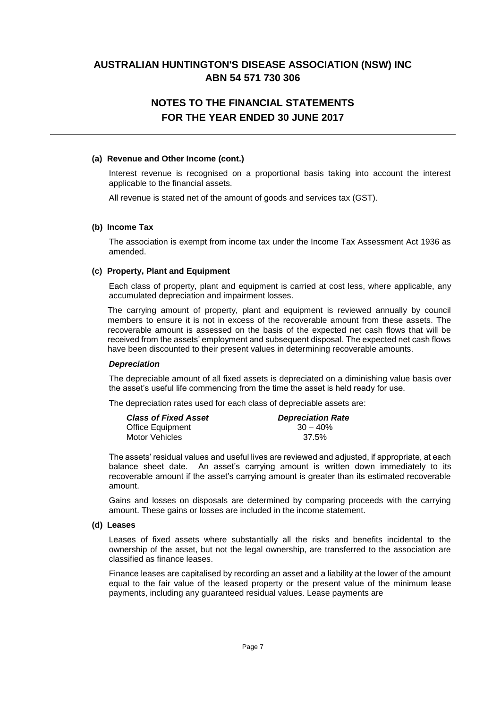# **NOTES TO THE FINANCIAL STATEMENTS FOR THE YEAR ENDED 30 JUNE 2017**

### **(a) Revenue and Other Income (cont.)**

Interest revenue is recognised on a proportional basis taking into account the interest applicable to the financial assets.

All revenue is stated net of the amount of goods and services tax (GST).

### **(b) Income Tax**

The association is exempt from income tax under the Income Tax Assessment Act 1936 as amended.

### **(c) Property, Plant and Equipment**

Each class of property, plant and equipment is carried at cost less, where applicable, any accumulated depreciation and impairment losses.

The carrying amount of property, plant and equipment is reviewed annually by council members to ensure it is not in excess of the recoverable amount from these assets. The recoverable amount is assessed on the basis of the expected net cash flows that will be received from the assets' employment and subsequent disposal. The expected net cash flows have been discounted to their present values in determining recoverable amounts.

### *Depreciation*

The depreciable amount of all fixed assets is depreciated on a diminishing value basis over the asset's useful life commencing from the time the asset is held ready for use.

The depreciation rates used for each class of depreciable assets are:

| <b>Class of Fixed Asset</b> | <b>Depreciation Rate</b> |
|-----------------------------|--------------------------|
| Office Equipment            | $30 - 40\%$              |
| Motor Vehicles              | 37.5%                    |

The assets' residual values and useful lives are reviewed and adjusted, if appropriate, at each balance sheet date. An asset's carrying amount is written down immediately to its recoverable amount if the asset's carrying amount is greater than its estimated recoverable amount.

Gains and losses on disposals are determined by comparing proceeds with the carrying amount. These gains or losses are included in the income statement.

#### **(d) Leases**

Leases of fixed assets where substantially all the risks and benefits incidental to the ownership of the asset, but not the legal ownership, are transferred to the association are classified as finance leases.

Finance leases are capitalised by recording an asset and a liability at the lower of the amount equal to the fair value of the leased property or the present value of the minimum lease payments, including any guaranteed residual values. Lease payments are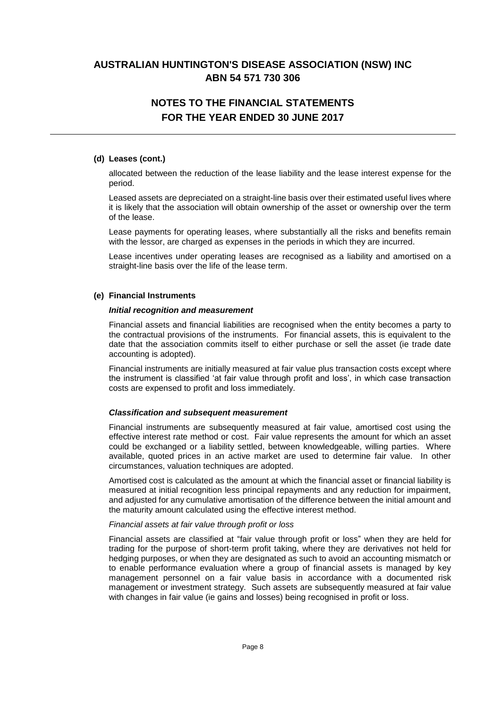# **NOTES TO THE FINANCIAL STATEMENTS FOR THE YEAR ENDED 30 JUNE 2017**

### **(d) Leases (cont.)**

allocated between the reduction of the lease liability and the lease interest expense for the period.

Leased assets are depreciated on a straight-line basis over their estimated useful lives where it is likely that the association will obtain ownership of the asset or ownership over the term of the lease.

Lease payments for operating leases, where substantially all the risks and benefits remain with the lessor, are charged as expenses in the periods in which they are incurred.

Lease incentives under operating leases are recognised as a liability and amortised on a straight-line basis over the life of the lease term.

### **(e) Financial Instruments**

#### *Initial recognition and measurement*

Financial assets and financial liabilities are recognised when the entity becomes a party to the contractual provisions of the instruments. For financial assets, this is equivalent to the date that the association commits itself to either purchase or sell the asset (ie trade date accounting is adopted).

Financial instruments are initially measured at fair value plus transaction costs except where the instrument is classified 'at fair value through profit and loss', in which case transaction costs are expensed to profit and loss immediately.

### *Classification and subsequent measurement*

Financial instruments are subsequently measured at fair value, amortised cost using the effective interest rate method or cost. Fair value represents the amount for which an asset could be exchanged or a liability settled, between knowledgeable, willing parties. Where available, quoted prices in an active market are used to determine fair value. In other circumstances, valuation techniques are adopted.

Amortised cost is calculated as the amount at which the financial asset or financial liability is measured at initial recognition less principal repayments and any reduction for impairment, and adjusted for any cumulative amortisation of the difference between the initial amount and the maturity amount calculated using the effective interest method.

### *Financial assets at fair value through profit or loss*

Financial assets are classified at "fair value through profit or loss" when they are held for trading for the purpose of short-term profit taking, where they are derivatives not held for hedging purposes, or when they are designated as such to avoid an accounting mismatch or to enable performance evaluation where a group of financial assets is managed by key management personnel on a fair value basis in accordance with a documented risk management or investment strategy. Such assets are subsequently measured at fair value with changes in fair value (ie gains and losses) being recognised in profit or loss.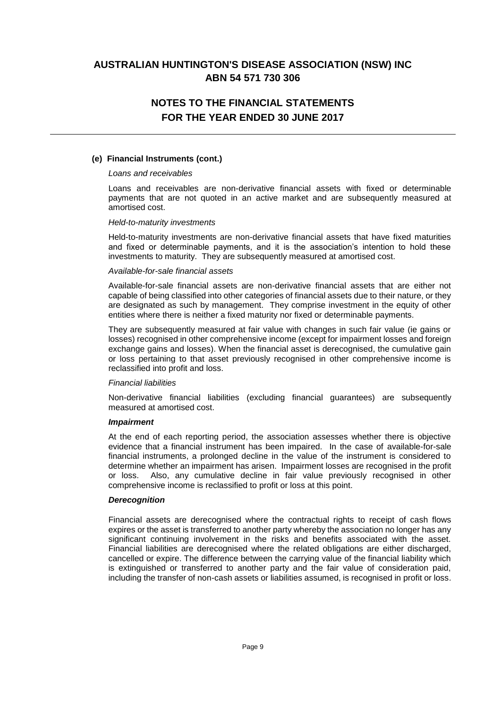# **NOTES TO THE FINANCIAL STATEMENTS FOR THE YEAR ENDED 30 JUNE 2017**

### **(e) Financial Instruments (cont.)**

#### *Loans and receivables*

Loans and receivables are non-derivative financial assets with fixed or determinable payments that are not quoted in an active market and are subsequently measured at amortised cost.

#### *Held-to-maturity investments*

Held-to-maturity investments are non-derivative financial assets that have fixed maturities and fixed or determinable payments, and it is the association's intention to hold these investments to maturity. They are subsequently measured at amortised cost.

#### *Available-for-sale financial assets*

Available-for-sale financial assets are non-derivative financial assets that are either not capable of being classified into other categories of financial assets due to their nature, or they are designated as such by management. They comprise investment in the equity of other entities where there is neither a fixed maturity nor fixed or determinable payments.

They are subsequently measured at fair value with changes in such fair value (ie gains or losses) recognised in other comprehensive income (except for impairment losses and foreign exchange gains and losses). When the financial asset is derecognised, the cumulative gain or loss pertaining to that asset previously recognised in other comprehensive income is reclassified into profit and loss.

### *Financial liabilities*

Non-derivative financial liabilities (excluding financial guarantees) are subsequently measured at amortised cost.

### *Impairment*

At the end of each reporting period, the association assesses whether there is objective evidence that a financial instrument has been impaired. In the case of available-for-sale financial instruments, a prolonged decline in the value of the instrument is considered to determine whether an impairment has arisen. Impairment losses are recognised in the profit or loss. Also, any cumulative decline in fair value previously recognised in other comprehensive income is reclassified to profit or loss at this point.

### *Derecognition*

Financial assets are derecognised where the contractual rights to receipt of cash flows expires or the asset is transferred to another party whereby the association no longer has any significant continuing involvement in the risks and benefits associated with the asset. Financial liabilities are derecognised where the related obligations are either discharged, cancelled or expire. The difference between the carrying value of the financial liability which is extinguished or transferred to another party and the fair value of consideration paid, including the transfer of non-cash assets or liabilities assumed, is recognised in profit or loss.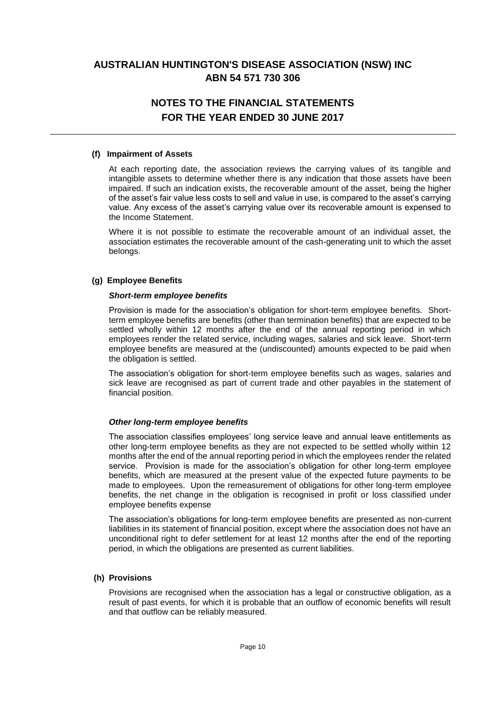# **NOTES TO THE FINANCIAL STATEMENTS FOR THE YEAR ENDED 30 JUNE 2017**

### **(f) Impairment of Assets**

At each reporting date, the association reviews the carrying values of its tangible and intangible assets to determine whether there is any indication that those assets have been impaired. If such an indication exists, the recoverable amount of the asset, being the higher of the asset's fair value less costs to sell and value in use, is compared to the asset's carrying value. Any excess of the asset's carrying value over its recoverable amount is expensed to the Income Statement.

Where it is not possible to estimate the recoverable amount of an individual asset, the association estimates the recoverable amount of the cash-generating unit to which the asset belongs.

### **(g) Employee Benefits**

### *Short-term employee benefits*

Provision is made for the association's obligation for short-term employee benefits. Shortterm employee benefits are benefits (other than termination benefits) that are expected to be settled wholly within 12 months after the end of the annual reporting period in which employees render the related service, including wages, salaries and sick leave. Short-term employee benefits are measured at the (undiscounted) amounts expected to be paid when the obligation is settled.

The association's obligation for short-term employee benefits such as wages, salaries and sick leave are recognised as part of current trade and other payables in the statement of financial position.

### *Other long-term employee benefits*

The association classifies employees' long service leave and annual leave entitlements as other long-term employee benefits as they are not expected to be settled wholly within 12 months after the end of the annual reporting period in which the employees render the related service. Provision is made for the association's obligation for other long-term employee benefits, which are measured at the present value of the expected future payments to be made to employees. Upon the remeasurement of obligations for other long-term employee benefits, the net change in the obligation is recognised in profit or loss classified under employee benefits expense

The association's obligations for long-term employee benefits are presented as non-current liabilities in its statement of financial position, except where the association does not have an unconditional right to defer settlement for at least 12 months after the end of the reporting period, in which the obligations are presented as current liabilities.

### **(h) Provisions**

Provisions are recognised when the association has a legal or constructive obligation, as a result of past events, for which it is probable that an outflow of economic benefits will result and that outflow can be reliably measured.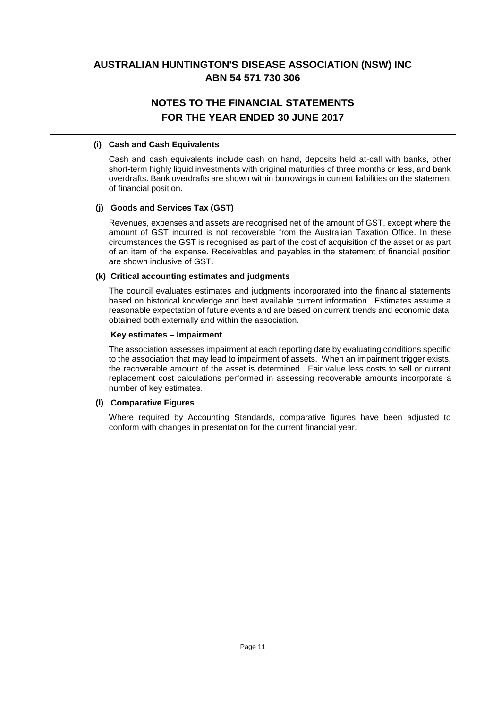# **NOTES TO THE FINANCIAL STATEMENTS FOR THE YEAR ENDED 30 JUNE 2017**

### **(i) Cash and Cash Equivalents**

Cash and cash equivalents include cash on hand, deposits held at-call with banks, other short-term highly liquid investments with original maturities of three months or less, and bank overdrafts. Bank overdrafts are shown within borrowings in current liabilities on the statement of financial position.

## **(j) Goods and Services Tax (GST)**

Revenues, expenses and assets are recognised net of the amount of GST, except where the amount of GST incurred is not recoverable from the Australian Taxation Office. In these circumstances the GST is recognised as part of the cost of acquisition of the asset or as part of an item of the expense. Receivables and payables in the statement of financial position are shown inclusive of GST.

### **(k) Critical accounting estimates and judgments**

The council evaluates estimates and judgments incorporated into the financial statements based on historical knowledge and best available current information. Estimates assume a reasonable expectation of future events and are based on current trends and economic data, obtained both externally and within the association.

### **Key estimates – Impairment**

The association assesses impairment at each reporting date by evaluating conditions specific to the association that may lead to impairment of assets. When an impairment trigger exists, the recoverable amount of the asset is determined. Fair value less costs to sell or current replacement cost calculations performed in assessing recoverable amounts incorporate a number of key estimates.

### **(l) Comparative Figures**

Where required by Accounting Standards, comparative figures have been adjusted to conform with changes in presentation for the current financial year.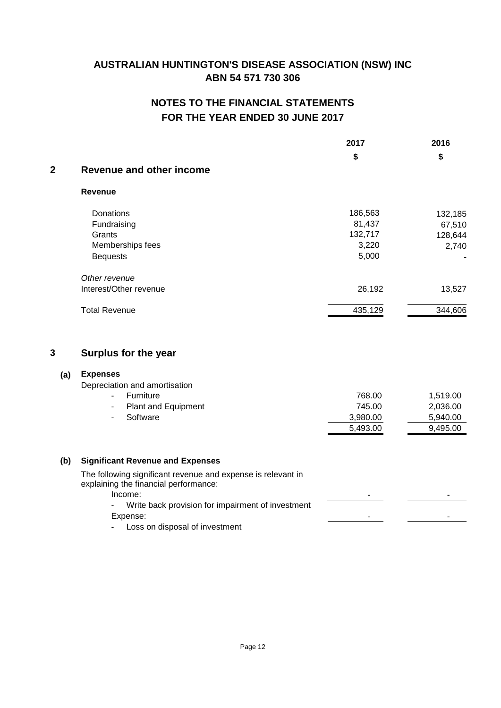# **NOTES TO THE FINANCIAL STATEMENTS FOR THE YEAR ENDED 30 JUNE 2017**

|             |                                                                                                                  | 2017     | 2016     |
|-------------|------------------------------------------------------------------------------------------------------------------|----------|----------|
|             |                                                                                                                  | \$       | \$       |
| $\mathbf 2$ | <b>Revenue and other income</b>                                                                                  |          |          |
|             | <b>Revenue</b>                                                                                                   |          |          |
|             | Donations                                                                                                        | 186,563  | 132,185  |
|             | Fundraising                                                                                                      | 81,437   | 67,510   |
|             | Grants                                                                                                           | 132,717  | 128,644  |
|             | Memberships fees                                                                                                 | 3,220    | 2,740    |
|             | <b>Bequests</b>                                                                                                  | 5,000    |          |
|             | Other revenue                                                                                                    |          |          |
|             | Interest/Other revenue                                                                                           | 26,192   | 13,527   |
|             | <b>Total Revenue</b>                                                                                             | 435,129  | 344,606  |
| 3           | <b>Surplus for the year</b>                                                                                      |          |          |
| (a)         | <b>Expenses</b>                                                                                                  |          |          |
|             | Depreciation and amortisation                                                                                    |          |          |
|             | Furniture<br>$\overline{\phantom{0}}$                                                                            | 768.00   | 1,519.00 |
|             | <b>Plant and Equipment</b><br>$\overline{\phantom{a}}$                                                           | 745.00   | 2,036.00 |
|             | Software                                                                                                         | 3,980.00 | 5,940.00 |
|             |                                                                                                                  | 5,493.00 | 9,495.00 |
| (b)         | <b>Significant Revenue and Expenses</b>                                                                          |          |          |
|             |                                                                                                                  |          |          |
|             | The following significant revenue and expense is relevant in<br>explaining the financial performance:<br>Income: |          |          |
|             | Write back provision for impairment of investment                                                                |          |          |
|             | Expense:                                                                                                         | ۰        |          |
|             | Loss on disposal of investment                                                                                   |          |          |
|             |                                                                                                                  |          |          |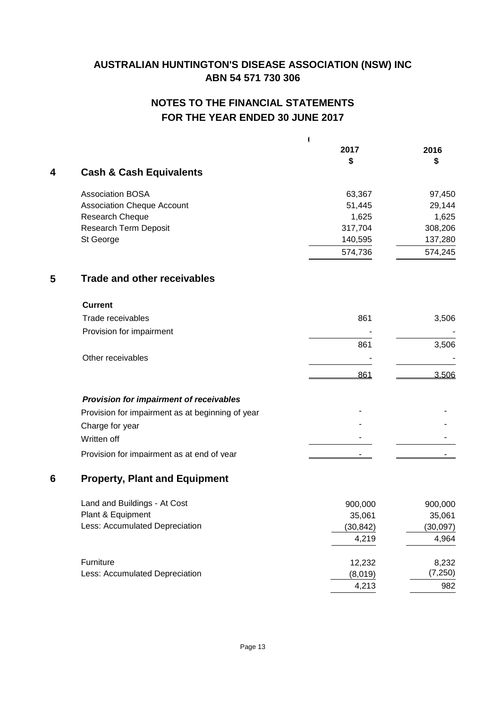# **NOTES TO THE FINANCIAL STATEMENTS FOR THE YEAR ENDED 30 JUNE 2017**

| 4 | <b>Cash &amp; Cash Equivalents</b>               | 1<br>2017<br>\$ | 2016<br>S |
|---|--------------------------------------------------|-----------------|-----------|
|   | <b>Association BOSA</b>                          | 63,367          | 97,450    |
|   | <b>Association Cheque Account</b>                | 51,445          | 29,144    |
|   | Research Cheque                                  | 1,625           | 1,625     |
|   | Research Term Deposit                            | 317,704         | 308,206   |
|   | St George                                        | 140,595         | 137,280   |
|   |                                                  | 574,736         | 574,245   |
| 5 | <b>Trade and other receivables</b>               |                 |           |
|   | <b>Current</b>                                   |                 |           |
|   | Trade receivables                                | 861             | 3,506     |
|   | Provision for impairment                         |                 |           |
|   |                                                  | 861             | 3,506     |
|   | Other receivables                                |                 |           |
|   |                                                  | 861             | 3.506     |
|   | Provision for impairment of receivables          |                 |           |
|   | Provision for impairment as at beginning of year |                 |           |
|   | Charge for year                                  |                 |           |
|   | Written off                                      |                 |           |
|   | Provision for impairment as at end of year       |                 |           |
| 6 | <b>Property, Plant and Equipment</b>             |                 |           |
|   | Land and Buildings - At Cost                     | 900,000         | 900,000   |
|   | Plant & Equipment                                | 35,061          | 35,061    |
|   | Less: Accumulated Depreciation                   | (30, 842)       | (30,097)  |
|   |                                                  | 4,219           | 4,964     |
|   | Furniture                                        | 12,232          | 8,232     |
|   | Less: Accumulated Depreciation                   | (8,019)         | (7, 250)  |
|   |                                                  | 4,213           | 982       |
|   |                                                  |                 |           |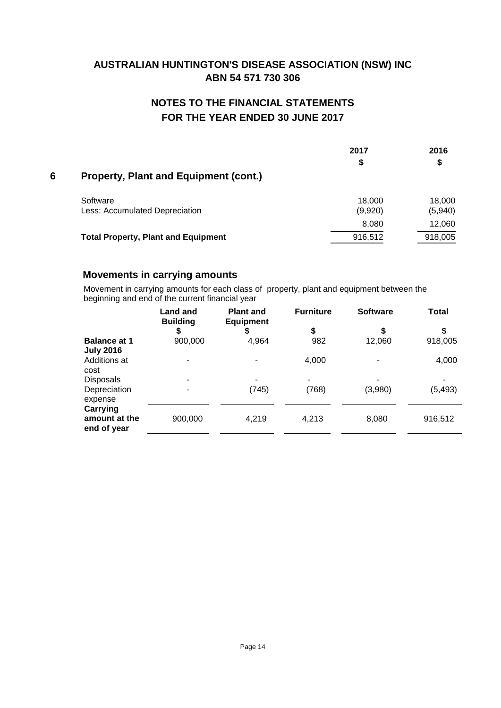# **NOTES TO THE FINANCIAL STATEMENTS FOR THE YEAR ENDED 30 JUNE 2017**

|   |                                              | 2017              | 2016              |
|---|----------------------------------------------|-------------------|-------------------|
| 6 | <b>Property, Plant and Equipment (cont.)</b> | S                 | \$                |
|   |                                              |                   |                   |
|   | Software<br>Less: Accumulated Depreciation   | 18,000<br>(9,920) | 18,000<br>(5,940) |
|   |                                              | 8,080             | 12,060            |
|   | <b>Total Property, Plant and Equipment</b>   | 916,512           | 918,005           |

## **Movements in carrying amounts**

Movement in carrying amounts for each class of property, plant and equipment between the beginning and end of the current financial year

|                                                 | <b>Land and</b><br><b>Building</b> | <b>Plant and</b><br><b>Equipment</b> | <b>Furniture</b> | <b>Software</b> | <b>Total</b> |
|-------------------------------------------------|------------------------------------|--------------------------------------|------------------|-----------------|--------------|
|                                                 | \$                                 | ₽                                    | \$               | S               | S            |
| <b>Balance at 1</b><br><b>July 2016</b>         | 900,000                            | 4,964                                | 982              | 12,060          | 918,005      |
| Additions at<br>cost                            |                                    |                                      | 4,000            |                 | 4,000        |
| <b>Disposals</b>                                |                                    | ۰                                    | ۰                |                 |              |
| Depreciation<br>expense                         |                                    | (745)                                | (768)            | (3,980)         | (5, 493)     |
| <b>Carrying</b><br>amount at the<br>end of year | 900,000                            | 4,219                                | 4,213            | 8,080           | 916,512      |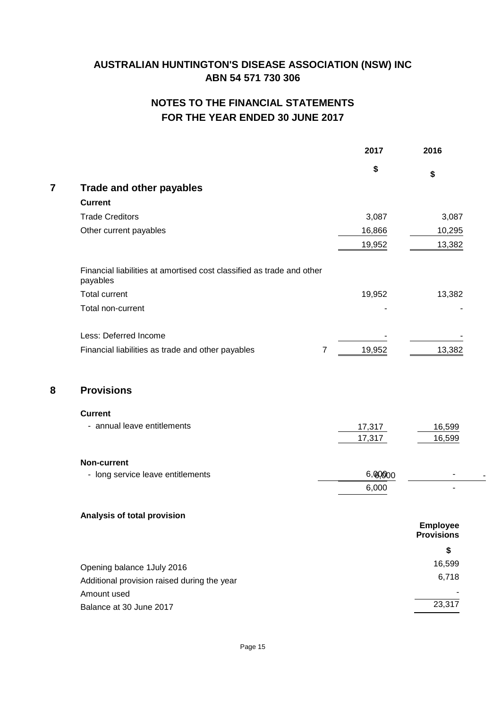# **NOTES TO THE FINANCIAL STATEMENTS FOR THE YEAR ENDED 30 JUNE 2017**

|   |                                                                                   | 2017    | 2016                                 |
|---|-----------------------------------------------------------------------------------|---------|--------------------------------------|
|   |                                                                                   | \$      | \$                                   |
| 7 | <b>Trade and other payables</b>                                                   |         |                                      |
|   | <b>Current</b>                                                                    |         |                                      |
|   | <b>Trade Creditors</b>                                                            | 3,087   | 3,087                                |
|   | Other current payables                                                            | 16,866  | 10,295                               |
|   |                                                                                   | 19,952  | 13,382                               |
|   | Financial liabilities at amortised cost classified as trade and other<br>payables |         |                                      |
|   | <b>Total current</b>                                                              | 19,952  | 13,382                               |
|   | Total non-current                                                                 |         |                                      |
|   | Less: Deferred Income                                                             |         |                                      |
|   | Financial liabilities as trade and other payables<br>$\overline{7}$               | 19,952  | 13,382                               |
| 8 | <b>Provisions</b>                                                                 |         |                                      |
|   | <b>Current</b>                                                                    |         |                                      |
|   | - annual leave entitlements                                                       | 17,317  | 16,599                               |
|   |                                                                                   | 17,317  | 16,599                               |
|   | <b>Non-current</b>                                                                |         |                                      |
|   | - long service leave entitlements                                                 | 6,00000 |                                      |
|   |                                                                                   | 6,000   |                                      |
|   | Analysis of total provision                                                       |         |                                      |
|   |                                                                                   |         | <b>Employee</b><br><b>Provisions</b> |
|   |                                                                                   |         | \$                                   |
|   | Opening balance 1July 2016                                                        |         | 16,599                               |
|   | Additional provision raised during the year                                       |         | 6,718                                |
|   | Amount used                                                                       |         |                                      |
|   | Balance at 30 June 2017                                                           |         | 23,317                               |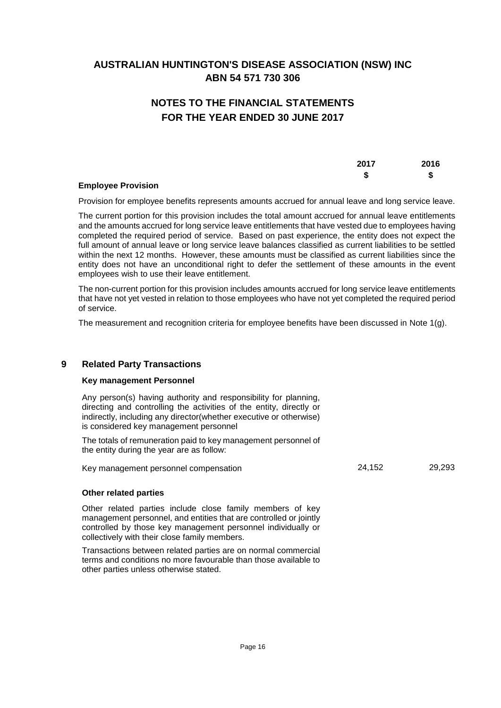# **NOTES TO THE FINANCIAL STATEMENTS FOR THE YEAR ENDED 30 JUNE 2017**

|                           | 2017 | 2016 |
|---------------------------|------|------|
|                           |      |      |
| <b>Employee Provision</b> |      |      |

Provision for employee benefits represents amounts accrued for annual leave and long service leave.

The current portion for this provision includes the total amount accrued for annual leave entitlements and the amounts accrued for long service leave entitlements that have vested due to employees having completed the required period of service. Based on past experience, the entity does not expect the full amount of annual leave or long service leave balances classified as current liabilities to be settled within the next 12 months. However, these amounts must be classified as current liabilities since the entity does not have an unconditional right to defer the settlement of these amounts in the event employees wish to use their leave entitlement.

The non-current portion for this provision includes amounts accrued for long service leave entitlements that have not yet vested in relation to those employees who have not yet completed the required period of service.

The measurement and recognition criteria for employee benefits have been discussed in Note 1(g).

## **9 Related Party Transactions**

### **Key management Personnel**

Any person(s) having authority and responsibility for planning, directing and controlling the activities of the entity, directly or indirectly, including any director(whether executive or otherwise) is considered key management personnel

The totals of remuneration paid to key management personnel of the entity during the year are as follow:

Key management personnel compensation 24,152 and 29,293

### **Other related parties**

Other related parties include close family members of key management personnel, and entities that are controlled or jointly controlled by those key management personnel individually or collectively with their close family members.

Transactions between related parties are on normal commercial terms and conditions no more favourable than those available to other parties unless otherwise stated.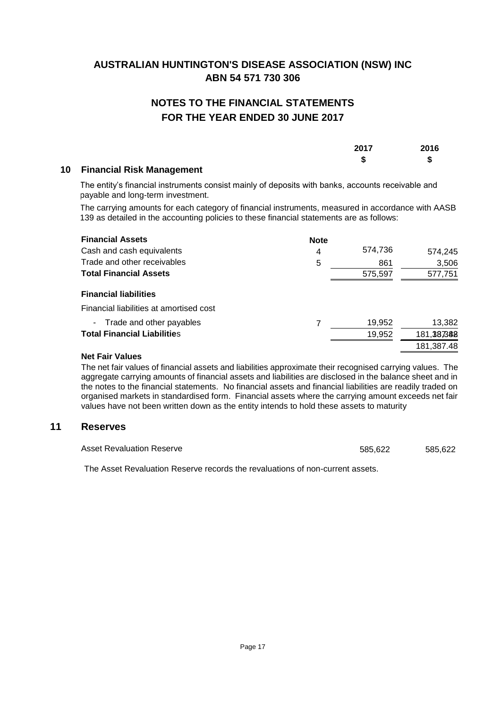# **NOTES TO THE FINANCIAL STATEMENTS FOR THE YEAR ENDED 30 JUNE 2017**

| 2017 | 2016 |
|------|------|
| -0   | S    |

## **10 Financial Risk Management**

The entity's financial instruments consist mainly of deposits with banks, accounts receivable and payable and long-term investment.

The carrying amounts for each category of financial instruments, measured in accordance with AASB 139 as detailed in the accounting policies to these financial statements are as follows:

| <b>Financial Assets</b>                 | <b>Note</b> |         |            |
|-----------------------------------------|-------------|---------|------------|
| Cash and cash equivalents               | 4           | 574,736 | 574,245    |
| Trade and other receivables             | 5           | 861     | 3,506      |
| <b>Total Financial Assets</b>           |             | 575,597 | 577,751    |
| <b>Financial liabilities</b>            |             |         |            |
| Financial liabilities at amortised cost |             |         |            |
| - Trade and other payables              |             | 19,952  | 13,382     |
| <b>Total Financial Liabilities</b>      |             | 19,952  | 181,387388 |
|                                         |             |         | 181,387.48 |

### **Net Fair Values**

The net fair values of financial assets and liabilities approximate their recognised carrying values. The aggregate carrying amounts of financial assets and liabilities are disclosed in the balance sheet and in the notes to the financial statements. No financial assets and financial liabilities are readily traded on organised markets in standardised form. Financial assets where the carrying amount exceeds net fair values have not been written down as the entity intends to hold these assets to maturity

## **11 Reserves**

Asset Revaluation Reserve 685,622 585,622

The Asset Revaluation Reserve records the revaluations of non-current assets.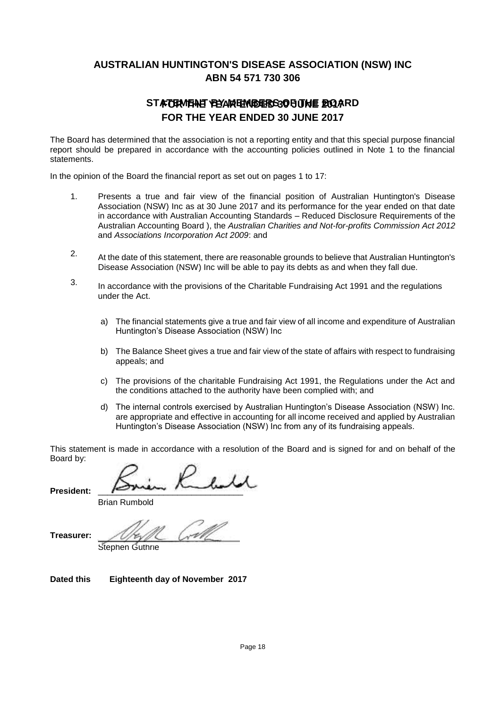# STATERMENE BEAN ENDERS OF THE BOARD **FOR THE YEAR ENDED 30 JUNE 2017**

The Board has determined that the association is not a reporting entity and that this special purpose financial report should be prepared in accordance with the accounting policies outlined in Note 1 to the financial statements.

In the opinion of the Board the financial report as set out on pages 1 to 17:

- 1. Presents a true and fair view of the financial position of Australian Huntington's Disease Association (NSW) Inc as at 30 June 2017 and its performance for the year ended on that date in accordance with Australian Accounting Standards – Reduced Disclosure Requirements of the Australian Accounting Board ), the *Australian Charities and Not-for-profits Commission Act 2012* and *Associations Incorporation Act 2009*: and
- 2. At the date of this statement, there are reasonable grounds to believe that Australian Huntington's Disease Association (NSW) Inc will be able to pay its debts as and when they fall due.
- 3. In accordance with the provisions of the Charitable Fundraising Act 1991 and the regulations under the Act.
	- a) The financial statements give a true and fair view of all income and expenditure of Australian Huntington's Disease Association (NSW) Inc
	- b) The Balance Sheet gives a true and fair view of the state of affairs with respect to fundraising appeals; and
	- c) The provisions of the charitable Fundraising Act 1991, the Regulations under the Act and the conditions attached to the authority have been complied with; and
	- d) The internal controls exercised by Australian Huntington's Disease Association (NSW) Inc. are appropriate and effective in accounting for all income received and applied by Australian Huntington's Disease Association (NSW) Inc from any of its fundraising appeals.

This statement is made in accordance with a resolution of the Board and is signed for and on behalf of the Board by:

President:

Brian Rumbold

Treasurer:

Stephen Guthrie

**Dated this Eighteenth day of November 2017**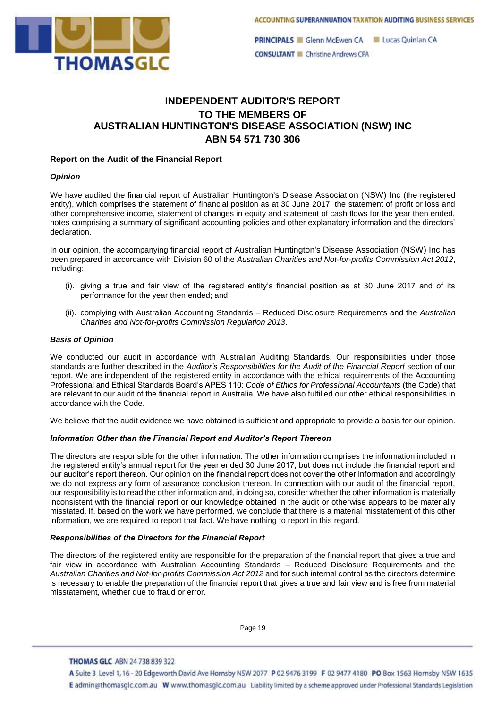

**PRINCIPALS** Glenn McEwen CA Lucas Quinlan CA **CONSULTANT Christine Andrews CPA** 

## **INDEPENDENT AUDITOR'S REPORT TO THE MEMBERS OF AUSTRALIAN HUNTINGTON'S DISEASE ASSOCIATION (NSW) INC ABN 54 571 730 306**

### **Report on the Audit of the Financial Report**

#### *Opinion*

We have audited the financial report of Australian Huntington's Disease Association (NSW) Inc (the registered entity), which comprises the statement of financial position as at 30 June 2017, the statement of profit or loss and other comprehensive income, statement of changes in equity and statement of cash flows for the year then ended, notes comprising a summary of significant accounting policies and other explanatory information and the directors' declaration.

In our opinion, the accompanying financial report of Australian Huntington's Disease Association (NSW) Inc has been prepared in accordance with Division 60 of the *Australian Charities and Not-for-profits Commission Act 2012*, including:

- (i). giving a true and fair view of the registered entity's financial position as at 30 June 2017 and of its performance for the year then ended; and
- (ii). complying with Australian Accounting Standards Reduced Disclosure Requirements and the *Australian Charities and Not-for-profits Commission Regulation 2013*.

#### *Basis of Opinion*

We conducted our audit in accordance with Australian Auditing Standards. Our responsibilities under those standards are further described in the *Auditor's Responsibilities for the Audit of the Financial Report* section of our report. We are independent of the registered entity in accordance with the ethical requirements of the Accounting Professional and Ethical Standards Board's APES 110: *Code of Ethics for Professional Accountants* (the Code) that are relevant to our audit of the financial report in Australia. We have also fulfilled our other ethical responsibilities in accordance with the Code.

We believe that the audit evidence we have obtained is sufficient and appropriate to provide a basis for our opinion.

### *Information Other than the Financial Report and Auditor's Report Thereon*

The directors are responsible for the other information. The other information comprises the information included in the registered entity's annual report for the year ended 30 June 2017, but does not include the financial report and our auditor's report thereon. Our opinion on the financial report does not cover the other information and accordingly we do not express any form of assurance conclusion thereon. In connection with our audit of the financial report, our responsibility is to read the other information and, in doing so, consider whether the other information is materially inconsistent with the financial report or our knowledge obtained in the audit or otherwise appears to be materially misstated. If, based on the work we have performed, we conclude that there is a material misstatement of this other information, we are required to report that fact. We have nothing to report in this regard.

#### *Responsibilities of the Directors for the Financial Report*

The directors of the registered entity are responsible for the preparation of the financial report that gives a true and fair view in accordance with Australian Accounting Standards – Reduced Disclosure Requirements and the *Australian Charities and Not-for-profits Commission Act 2012* and for such internal control as the directors determine is necessary to enable the preparation of the financial report that gives a true and fair view and is free from material misstatement, whether due to fraud or error.

Page 19

#### **THOMAS GLC ABN 24 738 839 322**

A Suite 3 Level 1, 16 - 20 Edgeworth David Ave Hornsby NSW 2077 P 02 9476 3199 F 02 9477 4180 PO Box 1563 Hornsby NSW 1635 E admin@thomasglc.com.au W www.thomasglc.com.au Liability limited by a scheme approved under Professional Standards Legislation